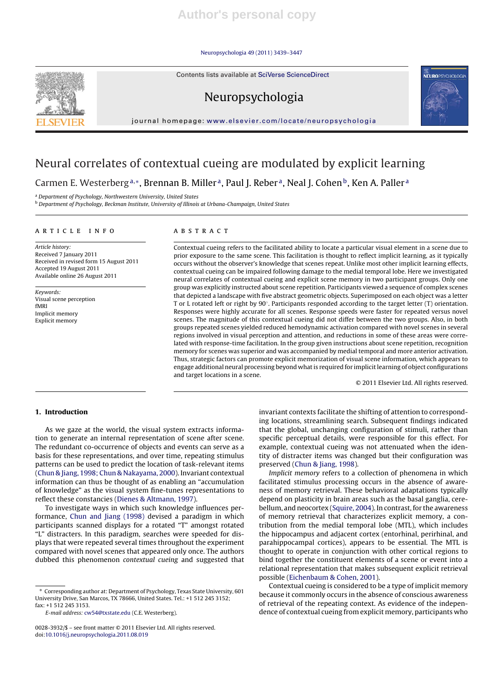Neuropsychologia 49 (2011) 3439–3447

Contents lists available at SciVerse ScienceDirect







journal homepage: www.elsevier.com/locate/neuropsychologia

# Neural correlates of contextual cueing are modulated by explicit learning

Carmen E. Westerberg<sup>a,\*</sup>, Brennan B. Miller<sup>a</sup>, Paul J. Reber<sup>a</sup>, Neal J. Cohen<sup>b</sup>, Ken A. Paller<sup>a</sup>

<sup>a</sup> Department of Psychology, Northwestern University, United States

<sup>b</sup> Department of Psychology, Beckman Institute, University of Illinois at Urbana-Champaign, United States

# article info

Article history: Received 7 January 2011 Received in revised form 15 August 2011 Accepted 19 August 2011 Available online 26 August 2011

Keywords: Visual scene perception fMRI Implicit memory Explicit memory

# A B S T R A C T

Contextual cueing refers to the facilitated ability to locate a particular visual element in a scene due to prior exposure to the same scene. This facilitation is thought to reflect implicit learning, as it typically occurs without the observer's knowledge that scenes repeat. Unlike most other implicit learning effects, contextual cueing can be impaired following damage to the medial temporal lobe. Here we investigated neural correlates of contextual cueing and explicit scene memory in two participant groups. Only one group was explicitly instructed about scene repetition. Participants viewed a sequence of complex scenes that depicted a landscape with five abstract geometric objects. Superimposed on each object was a letter T or L rotated left or right by 90◦. Participants responded according to the target letter (T) orientation. Responses were highly accurate for all scenes. Response speeds were faster for repeated versus novel scenes. The magnitude of this contextual cueing did not differ between the two groups. Also, in both groups repeated scenes yielded reduced hemodynamic activation compared with novel scenes in several regions involved in visual perception and attention, and reductions in some of these areas were correlated with response-time facilitation. In the group given instructions about scene repetition, recognition memory for scenes was superior and was accompanied by medial temporal and more anterior activation. Thus, strategic factors can promote explicit memorization of visual scene information, which appears to engage additional neural processing beyond what is required for implicit learning of object configurations and target locations in a scene.

© 2011 Elsevier Ltd. All rights reserved.

# **1. Introduction**

As we gaze at the world, the visual system extracts information to generate an internal representation of scene after scene. The redundant co-occurrence of objects and events can serve as a basis for these representations, and over time, repeating stimulus patterns can be used to predict the location of task-relevant items (Chun & Jiang, 1998; Chun & Nakayama, 2000). Invariant contextual information can thus be thought of as enabling an "accumulation of knowledge" as the visual system fine-tunes representations to reflect these constancies (Dienes & Altmann, 1997).

To investigate ways in which such knowledge influences performance, Chun and Jiang (1998) devised a paradigm in which participants scanned displays for a rotated "T" amongst rotated "L" distracters. In this paradigm, searches were speeded for displays that were repeated several times throughout the experiment compared with novel scenes that appeared only once. The authors dubbed this phenomenon contextual cueing and suggested that

E-mail address: cw54@txstate.edu (C.E. Westerberg).

invariant contexts facilitate the shifting of attention to corresponding locations, streamlining search. Subsequent findings indicated that the global, unchanging configuration of stimuli, rather than specific perceptual details, were responsible for this effect. For example, contextual cueing was not attenuated when the identity of distracter items was changed but their configuration was preserved (Chun & Jiang, 1998).

Implicit memory refers to a collection of phenomena in which facilitated stimulus processing occurs in the absence of awareness of memory retrieval. These behavioral adaptations typically depend on plasticity in brain areas such as the basal ganglia, cerebellum, and neocortex (Squire, 2004). In contrast, for the awareness of memory retrieval that characterizes explicit memory, a contribution from the medial temporal lobe (MTL), which includes the hippocampus and adjacent cortex (entorhinal, perirhinal, and parahippocampal cortices), appears to be essential. The MTL is thought to operate in conjunction with other cortical regions to bind together the constituent elements of a scene or event into a relational representation that makes subsequent explicit retrieval possible (Eichenbaum & Cohen, 2001).

Contextual cueing is considered to be a type of implicit memory because it commonly occurs in the absence of conscious awareness of retrieval of the repeating context. As evidence of the independence of contextual cueing from explicit memory, participants who

<sup>∗</sup> Corresponding author at: Department of Psychology, Texas State University, 601 University Drive, San Marcos, TX 78666, United States. Tel.: +1 512 245 3152; fax: +1 512 245 3153.

<sup>0028-3932/\$ –</sup> see front matter © 2011 Elsevier Ltd. All rights reserved. doi:10.1016/j.neuropsychologia.2011.08.019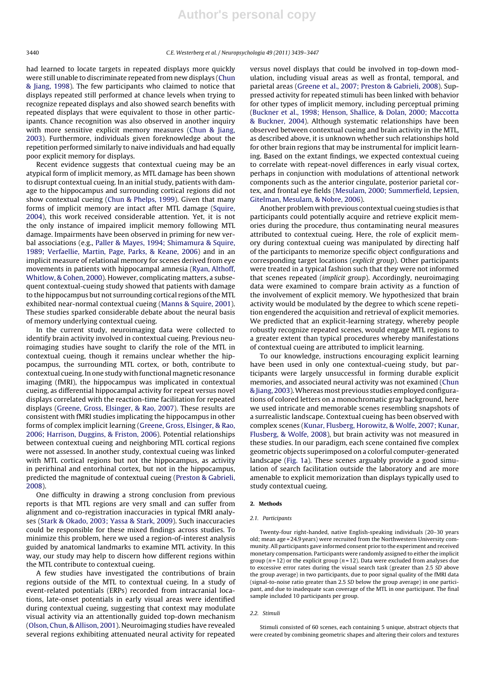had learned to locate targets in repeated displays more quickly were still unable to discriminate repeated from new displays (Chun & Jiang, 1998). The few participants who claimed to notice that displays repeated still performed at chance levels when trying to recognize repeated displays and also showed search benefits with repeated displays that were equivalent to those in other participants. Chance recognition was also observed in another inquiry with more sensitive explicit memory measures (Chun & Jiang, 2003). Furthermore, individuals given foreknowledge about the repetition performed similarly to naive individuals and had equally poor explicit memory for displays.

Recent evidence suggests that contextual cueing may be an atypical form of implicit memory, as MTL damage has been shown to disrupt contextual cueing. In an initial study, patients with damage to the hippocampus and surrounding cortical regions did not show contextual cueing (Chun & Phelps, 1999). Given that many forms of implicit memory are intact after MTL damage (Squire, 2004), this work received considerable attention. Yet, it is not the only instance of impaired implicit memory following MTL damage. Impairments have been observed in priming for new verbal associations (e.g., Paller & Mayes, 1994; Shimamura & Squire, 1989; Verfaellie, Martin, Page, Parks, & Keane, 2006) and in an implicit measure of relational memory for scenes derived from eye movements in patients with hippocampal amnesia (Ryan, Althoff, Whitlow, & Cohen, 2000). However, complicating matters, a subsequent contextual-cueing study showed that patients with damage to the hippocampus but not surrounding cortical regions of the MTL exhibited near-normal contextual cueing (Manns & Squire, 2001). These studies sparked considerable debate about the neural basis of memory underlying contextual cueing.

In the current study, neuroimaging data were collected to identify brain activity involved in contextual cueing. Previous neuroimaging studies have sought to clarify the role of the MTL in contextual cueing, though it remains unclear whether the hippocampus, the surrounding MTL cortex, or both, contribute to contextual cueing. In one study with functionalmagnetic resonance imaging (fMRI), the hippocampus was implicated in contextual cueing, as differential hippocampal activity for repeat versus novel displays correlated with the reaction-time facilitation for repeated displays (Greene, Gross, Elsinger, & Rao, 2007). These results are consistent with fMRI studies implicating the hippocampus in other forms of complex implicit learning (Greene, Gross, Elsinger, & Rao, 2006; Harrison, Duggins, & Friston, 2006). Potential relationships between contextual cueing and neighboring MTL cortical regions were not assessed. In another study, contextual cueing was linked with MTL cortical regions but not the hippocampus, as activity in perirhinal and entorhinal cortex, but not in the hippocampus, predicted the magnitude of contextual cueing (Preston & Gabrieli, 2008).

One difficulty in drawing a strong conclusion from previous reports is that MTL regions are very small and can suffer from alignment and co-registration inaccuracies in typical fMRI analyses (Stark & Okado, 2003; Yassa & Stark, 2009). Such inaccuracies could be responsible for these mixed findings across studies. To minimize this problem, here we used a region-of-interest analysis guided by anatomical landmarks to examine MTL activity. In this way, our study may help to discern how different regions within the MTL contribute to contextual cueing.

A few studies have investigated the contributions of brain regions outside of the MTL to contextual cueing. In a study of event-related potentials (ERPs) recorded from intracranial locations, late-onset potentials in early visual areas were identified during contextual cueing, suggesting that context may modulate visual activity via an attentionally guided top-down mechanism (Olson, Chun, & Allison, 2001). Neuroimaging studies have revealed several regions exhibiting attenuated neural activity for repeated

versus novel displays that could be involved in top-down modulation, including visual areas as well as frontal, temporal, and parietal areas (Greene et al., 2007; Preston & Gabrieli, 2008). Suppressed activity for repeated stimuli has been linked with behavior for other types of implicit memory, including perceptual priming (Buckner et al., 1998; Henson, Shallice, & Dolan, 2000; Maccotta & Buckner, 2004). Although systematic relationships have been observed between contextual cueing and brain activity in the MTL, as described above, it is unknown whether such relationships hold for other brain regions that may be instrumental for implicit learning. Based on the extant findings, we expected contextual cueing to correlate with repeat-novel differences in early visual cortex, perhaps in conjunction with modulations of attentional network components such as the anterior cingulate, posterior parietal cortex, and frontal eye fields (Mesulam, 2000; Summerfield, Lepsien, Gitelman, Mesulam, & Nobre, 2006).

Another problem with previous contextual cueing studies is that participants could potentially acquire and retrieve explicit memories during the procedure, thus contaminating neural measures attributed to contextual cueing. Here, the role of explicit memory during contextual cueing was manipulated by directing half of the participants to memorize specific object configurations and corresponding target locations (explicit group). Other participants were treated in a typical fashion such that they were not informed that scenes repeated (implicit group). Accordingly, neuroimaging data were examined to compare brain activity as a function of the involvement of explicit memory. We hypothesized that brain activity would be modulated by the degree to which scene repetition engendered the acquisition and retrieval of explicit memories. We predicted that an explicit-learning strategy, whereby people robustly recognize repeated scenes, would engage MTL regions to a greater extent than typical procedures whereby manifestations of contextual cueing are attributed to implicit learning.

To our knowledge, instructions encouraging explicit learning have been used in only one contextual-cueing study, but participants were largely unsuccessful in forming durable explicit memories, and associated neural activity was not examined (Chun & Jiang, 2003).Whereasmost previous studies employed configurations of colored letters on a monochromatic gray background, here we used intricate and memorable scenes resembling snapshots of a surrealistic landscape. Contextual cueing has been observed with complex scenes (Kunar, Flusberg, Horowitz, & Wolfe, 2007; Kunar, Flusberg, & Wolfe, 2008), but brain activity was not measured in these studies. In our paradigm, each scene contained five complex geometric objects superimposed on a colorful computer-generated landscape (Fig. 1a). These scenes arguably provide a good simulation of search facilitation outside the laboratory and are more amenable to explicit memorization than displays typically used to study contextual cueing.

## **2. Methods**

#### 2.1. Participants

Twenty-four right-handed, native English-speaking individuals (20–30 years old; mean age = 24.9 years) were recruited from the Northwestern University community. All participants gave informed consent prior to the experiment and received monetary compensation. Participants were randomly assigned to either the implicit group ( $n = 12$ ) or the explicit group ( $n = 12$ ). Data were excluded from analyses due to excessive error rates during the visual search task (greater than 2.5 SD above the group average) in two participants, due to poor signal quality of the fMRI data (signal-to-noise ratio greater than 2.5 SD below the group average) in one participant, and due to inadequate scan coverage of the MTL in one participant. The final sample included 10 participants per group.

#### 2.2. Stimuli

Stimuli consisted of 60 scenes, each containing 5 unique, abstract objects that were created by combining geometric shapes and altering their colors and textures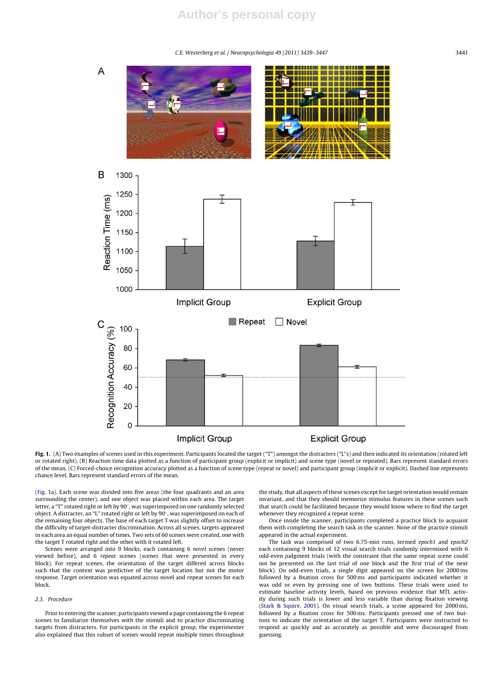C.E. Westerberg et al. / Neuropsychologia 49 (2011) 3439–3447 3441



Fig. 1. (A) Two examples of scenes used in this experiment. Participants located the target ("T") amongst the distracters ("L"s) and then indicated its orientation (rotated left or rotated right). (B) Reaction time data plotted as a function of participant group (explicit or implicit) and scene type (novel or repeated). Bars represent standard errors of the mean. (C) Forced-choice recognition accuracy plotted as a function of scene type (repeat or novel) and participant group (implicit or explicit). Dashed line represents chance level. Bars represent standard errors of the mean.

(Fig. 1a). Each scene was divided into five areas (the four quadrants and an area surrounding the center), and one object was placed within each area. The target letter, a "T" rotated right or left by 90◦, was superimposed on one randomly selected object. A distracter, an "L" rotated right or left by 90◦, was superimposed on each of the remaining four objects. The base of each target T was slightly offset to increase the difficulty of target-distracter discrimination. Across all scenes, targets appeared in each area an equal number of times. Two sets of 60 scenes were created, one with the target T rotated right and the other with it rotated left.

Scenes were arranged into 9 blocks, each containing 6 novel scenes (never viewed before), and 6 repeat scenes (scenes that were presented in every block). For repeat scenes, the orientation of the target differed across blocks such that the context was predictive of the target location but not the motor response. Target orientation was equated across novel and repeat scenes for each block.

# 2.3. Procedure

Prior to entering the scanner, participants viewed a page containing the 6 repeat scenes to familiarize themselves with the stimuli and to practice discriminating targets from distracters. For participants in the explicit group, the experimenter also explained that this subset of scenes would repeat multiple times throughout

the study, that all aspects of these scenes except for target orientation would remain invariant, and that they should memorize stimulus features in these scenes such that search could be facilitated because they would know where to find the target whenever they recognized a repeat scene.

Once inside the scanner, participants completed a practice block to acquaint them with completing the search task in the scanner. None of the practice stimuli appeared in the actual experiment.

The task was comprised of two 6.75-min runs, termed epoch1 and epoch2 each containing 9 blocks of 12 visual search trials randomly intermixed with 6 odd-even judgment trials (with the constraint that the same repeat scene could not be presented on the last trial of one block and the first trial of the next block). On odd-even trials, a single digit appeared on the screen for 2000 ms followed by a fixation cross for 500 ms and participants indicated whether it was odd or even by pressing one of two buttons. These trials were used to estimate baseline activity levels, based on previous evidence that MTL activity during such trials is lower and less variable than during fixation viewing (Stark & Squire, 2001). On visual search trials, a scene appeared for 2000 ms, followed by a fixation cross for 500 ms. Participants pressed one of two buttons to indicate the orientation of the target T. Participants were instructed to respond as quickly and as accurately as possible and were discouraged from guessing.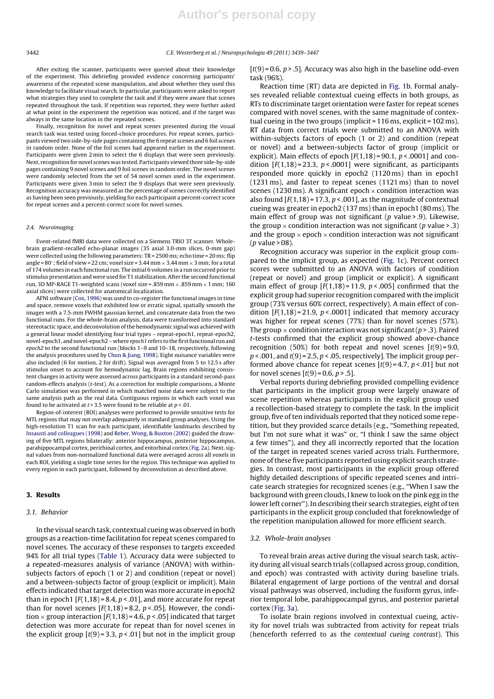After exiting the scanner, participants were queried about their knowledge of the experiment. This debriefing provided evidence concerning participants' awareness of the repeated scene manipulation, and about whether they used this knowledge to facilitate visual search. In particular, participants were asked to report what strategies they used to complete the task and if they were aware that scenes repeated throughout the task. If repetition was reported, they were further asked at what point in the experiment the repetition was noticed, and if the target was always in the same location in the repeated scenes.

Finally, recognition for novel and repeat scenes presented during the visual search task was tested using forced-choice procedures. For repeat scenes, participants viewed two side-by-side pages containing the 6 repeat scenes and 6 foil scenes in random order. None of the foil scenes had appeared earlier in the experiment. Participants were given 2 min to select the 6 displays that were seen previously. Next, recognition for novel scenes was tested. Participants viewed three side-by-side pages containing 9 novel scenes and 9 foil scenes in random order. The novel scenes were randomly selected from the set of 54 novel scenes used in the experiment. Participants were given 3 min to select the 9 displays that were seen previously. Recognition accuracy was measured as the percentage of scenes correctly identified as having been seen previously, yielding for each participant a percent-correct score for repeat scenes and a percent-correct score for novel scenes.

### 2.4. Neuroimaging

Event-related fMRI data were collected on a Siemens TRIO 3T scanner. Wholebrain gradient-recalled echo-planar images (35 axial 3.0-mm slices, 0-mm gap) were collected using the following parameters: TR = 2500 ms; echo time = 20 ms; flip angle = 80°; field of view = 22 cm; voxel size = 3.44 mm  $\times$  3.44 mm  $\times$  3 mm; for a total of 174 volumes in each functional run. The initial 6 volumes in a run occurred prior to stimulus presentation and were used for T1 stabilization. After the second functional run, 3D MP-RAGE T1-weighted scans (voxel size = .859 mm  $\times$  .859 mm  $\times$  1 mm; 160 axial slices) were collected for anatomical localization.

AFNI software (Cox, 1996) was used to co-register the functional images in time and space, remove voxels that exhibited low or erratic signal, spatially smooth the images with a 7.5-mm FWHM gaussian kernel, and concatenate data from the two functional runs. For the whole-brain analysis, data were transformed into standard stereotactic space, and deconvolution of the hemodynamic signal was achieved with a general linear model identifying four trial types – repeat-epoch1, repeat-epoch2, novel-epoch1, and novel-epoch2 – where epoch1 refers to the first functional run and epoch2 to the second functional run (blocks 1–9 and 10–18, respectively, following the analysis procedures used by Chun & Jiang, 1998). Eight nuisance variables were also included (6 for motion, 2 for drift). Signal was averaged from 5 to 12.5 s after stimulus onset to account for hemodynamic lag. Brain regions exhibiting consistent changes in activity were assessed across participants in a standard second-pass random-effects analysis (t-test). As a correction for multiple comparisons, a Monte Carlo simulation was performed in which matched noise data were subject to the same analysis path as the real data. Contiguous regions in which each voxel was found to be activated at  $t > 3.5$  were found to be reliable at  $p < .01$ .

Region-of-interest (ROI) analyses were performed to provide sensitive tests for MTL regions that may not overlap adequately in standard group analyses. Using the high-resolution T1 scan for each participant, identifiable landmarks described by Insausti and colleagues (1998) and Reber, Wong, & Buxton (2002) guided the drawing of five MTL regions bilaterally: anterior hippocampus, posterior hippocampus, parahippocampal cortex, perirhinal cortex, and entorhinal cortex (Fig. 2a). Next, signal values from non-normalized functional data were averaged across all voxels in each ROI, yielding a single time series for the region. This technique was applied to every region in each participant, followed by deconvolution as described above.

## **3. Results**

# 3.1. Behavior

In the visual search task, contextual cueing was observed in both groups as a reaction-time facilitation for repeat scenes compared to novel scenes. The accuracy of these responses to targets exceeded 94% for all trial types (Table 1). Accuracy data were subjected to a repeated-measures analysis of variance (ANOVA) with withinsubjects factors of epoch (1 or 2) and condition (repeat or novel) and a between-subjects factor of group (explicit or implicit). Main effects indicated that target detection was more accurate in epoch2 than in epoch1  $[F(1,18) = 8.4, p < .01]$ , and more accurate for repeat than for novel scenes  $[F(1,18)=8.2, p<0.05]$ . However, the condition  $\times$  group interaction [ $F(1,18) = 4.6$ ,  $p < .05$ ] indicated that target detection was more accurate for repeat than for novel scenes in the explicit group  $[t(9) = 3.3, p < .01]$  but not in the implicit group

 $[t(9) = 0.6, p > .5]$ . Accuracy was also high in the baseline odd-even task (96%).

Reaction time (RT) data are depicted in Fig. 1b. Formal analyses revealed reliable contextual cueing effects in both groups, as RTs to discriminate target orientation were faster for repeat scenes compared with novel scenes, with the same magnitude of contextual cueing in the two groups (implicit = 116 ms, explicit = 102 ms). RT data from correct trials were submitted to an ANOVA with within-subjects factors of epoch (1 or 2) and condition (repeat or novel) and a between-subjects factor of group (implicit or explicit). Main effects of epoch  $[F(1,18) = 90.1, p < .0001]$  and condition  $[F(1,18) = 23.3, p < .0001]$  were significant, as participants responded more quickly in epoch2 (1120 ms) than in epoch1 (1231 ms), and faster to repeat scenes (1121 ms) than to novel scenes (1230 ms). A significant epoch  $\times$  condition interaction was also found  $[F(1,18) = 17.3, p < .001]$ , as the magnitude of contextual cueing was greater in epoch2 (137 ms) than in epoch1 (80 ms). The main effect of group was not significant ( $p$  value  $> 0.9$ ). Likewise, the group  $\times$  condition interaction was not significant (p value > .3) and the group  $\times$  epoch  $\times$  condition interaction was not significant ( $p$  value > 08).

Recognition accuracy was superior in the explicit group compared to the implicit group, as expected (Fig. 1c). Percent correct scores were submitted to an ANOVA with factors of condition (repeat or novel) and group (implicit or explicit). A significant main effect of group  $[F(1,18)=11.9, p < .005]$  confirmed that the explicit group had superior recognition compared with the implicit group (73% versus 60% correct, respectively). A main effect of condition  $[F(1,18) = 21.9, p < .0001]$  indicated that memory accuracy was higher for repeat scenes (77%) than for novel scenes (57%). The group  $\times$  condition interaction was not significant (p > .3). Paired t-tests confirmed that the explicit group showed above-chance recognition (50%) for both repeat and novel scenes  $[t(9) = 9.0,$  $p$  < .001, and  $t(9)$  = 2.5,  $p$  < .05, respectively]. The implicit group performed above chance for repeat scenes  $[t(9) = 4.7, p < .01]$  but not for novel scenes  $[t(9) = 0.6, p > .5]$ .

Verbal reports during debriefing provided compelling evidence that participants in the implicit group were largely unaware of scene repetition whereas participants in the explicit group used a recollection-based strategy to complete the task. In the implicit group, five of ten individuals reported that they noticed some repetition, but they provided scarce details (e.g., "Something repeated, but I'm not sure what it was" or, "I think I saw the same object a few times"), and they all incorrectly reported that the location of the target in repeated scenes varied across trials. Furthermore, none of these five participants reported using explicit search strategies. In contrast, most participants in the explicit group offered highly detailed descriptions of specific repeated scenes and intricate search strategies for recognized scenes (e.g., "When I saw the background with green clouds, I knew to look on the pink egg in the lower left corner"). In describing their search strategies, eight of ten participants in the explicit group concluded that foreknowledge of the repetition manipulation allowed for more efficient search.

## 3.2. Whole-brain analyses

To reveal brain areas active during the visual search task, activity during all visual search trials (collapsed across group, condition, and epoch) was contrasted with activity during baseline trials. Bilateral engagement of large portions of the ventral and dorsal visual pathways was observed, including the fusiform gyrus, inferior temporal lobe, parahippocampal gyrus, and posterior parietal cortex (Fig. 3a).

To isolate brain regions involved in contextual cueing, activity for novel trials was subtracted from activity for repeat trials (henceforth referred to as the contextual cueing contrast). This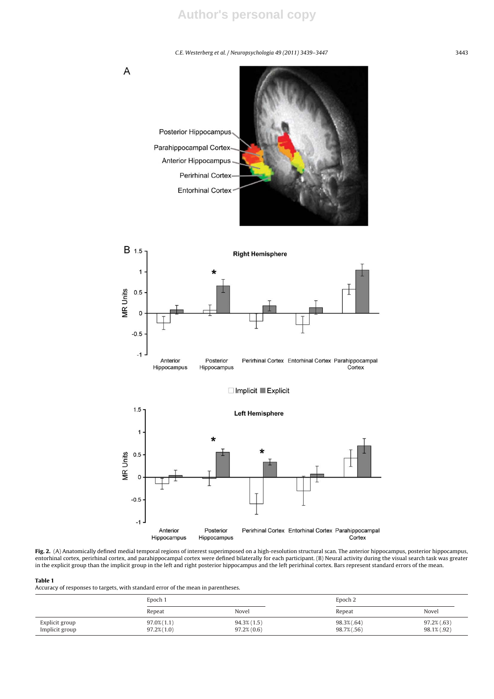# C.E. Westerberg et al. / Neuropsychologia 49 (2011) 3439–3447 3443





Fig. 2. (A) Anatomically defined medial temporal regions of interest superimposed on a high-resolution structural scan. The anterior hippocampus, posterior hippocampus, entorhinal cortex, perirhinal cortex, and parahippocampal cortex were defined bilaterally for each participant. (B) Neural activity during the visual search task was greater in the explicit group than the implicit group in the left and right posterior hippocampus and the left perirhinal cortex. Bars represent standard errors of the mean.

#### **Table 1**

Accuracy of responses to targets, with standard error of the mean in parentheses.

A

|                                  | Epoch 1                            |                                  | Epoch 2                    |                              |
|----------------------------------|------------------------------------|----------------------------------|----------------------------|------------------------------|
|                                  | Repeat                             | Novel                            | Repeat                     | Novel                        |
| Explicit group<br>Implicit group | $97.0\%$ $(1.1)$<br>$97.2\% (1.0)$ | $94.3\%$ (1.5)<br>$97.2\%$ (0.6) | 98.3% (.64)<br>98.7% (.56) | $97.2\%(.63)$<br>98.1% (.92) |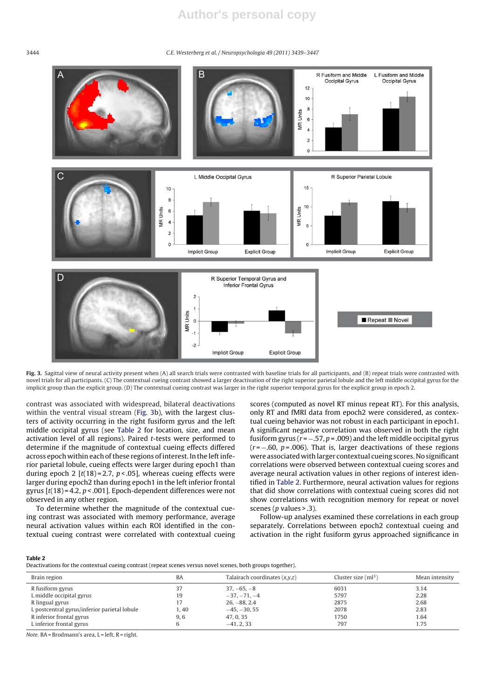# **Author's personal copy**

3444 C.E. Westerberg et al. / Neuropsychologia 49 (2011) 3439–3447



Fig. 3. Sagittal view of neural activity present when (A) all search trials were contrasted with baseline trials for all participants, and (B) repeat trials were contrasted with novel trials for all participants. (C) The contextual cueing contrast showed a larger deactivation of the right superior parietal lobule and the left middle occipital gyrus for the implicit group than the explicit group. (D) The contextual cueing contrast was larger in the right superior temporal gyrus for the explicit group in epoch 2.

contrast was associated with widespread, bilateral deactivations within the ventral visual stream (Fig. 3b), with the largest clusters of activity occurring in the right fusiform gyrus and the left middle occipital gyrus (see Table 2 for location, size, and mean activation level of all regions). Paired t-tests were performed to determine if the magnitude of contextual cueing effects differed across epoch within each of these regions of interest. In the left inferior parietal lobule, cueing effects were larger during epoch1 than during epoch 2  $[t(18)=2.7, p<0.05]$ , whereas cueing effects were larger during epoch2 than during epoch1 in the left inferior frontal gyrus  $[t(18) = 4.2, p < .001]$ . Epoch-dependent differences were not observed in any other region.

To determine whether the magnitude of the contextual cueing contrast was associated with memory performance, average neural activation values within each ROI identified in the contextual cueing contrast were correlated with contextual cueing scores (computed as novel RT minus repeat RT). For this analysis, only RT and fMRI data from epoch2 were considered, as contextual cueing behavior was not robust in each participant in epoch1. A significant negative correlation was observed in both the right fusiform gyrus ( $r = -.57$ ,  $p = .009$ ) and the left middle occipital gyrus  $(r = -.60, p = .006)$ . That is, larger deactivations of these regions were associated with larger contextual cueing scores. No significant correlations were observed between contextual cueing scores and average neural activation values in other regions of interest identified in Table 2. Furthermore, neural activation values for regions that did show correlations with contextual cueing scores did not show correlations with recognition memory for repeat or novel scenes ( $p$  values  $>$  .3).

Follow-up analyses examined these correlations in each group separately. Correlations between epoch2 contextual cueing and activation in the right fusiform gyrus approached significance in

# **Table 2**

Deactivations for the contextual cueing contrast (repeat scenes versus novel scenes, both groups together).

| Brain region                                 | BA   | Talairach coordinates $(x,y,z)$ | Cluster size $(ml3)$ | Mean intensity |
|----------------------------------------------|------|---------------------------------|----------------------|----------------|
| R fusiform gyrus                             | 37   | $37, -65, -8$                   | 6031                 | 3.14           |
| L middle occipital gyrus                     | 19   | $-37, -71, -4$                  | 5797                 | 2.28           |
| R lingual gyrus                              | 17   | $26, -88, 2.4$                  | 2875                 | 2.68           |
| L postcentral gyrus/inferior parietal lobule | 1.40 | $-45, -30, 55$                  | 2078                 | 2.83           |
| R inferior frontal gyrus                     | 9,6  | 47, 0, 35                       | 1750                 | 1.64           |
| L inferior frontal gyrus                     | 6    | $-41, 2, 33$                    | 797                  | 1.75           |

Note.  $BA = Brodmann's area$ ,  $L = left$ ,  $R = right$ .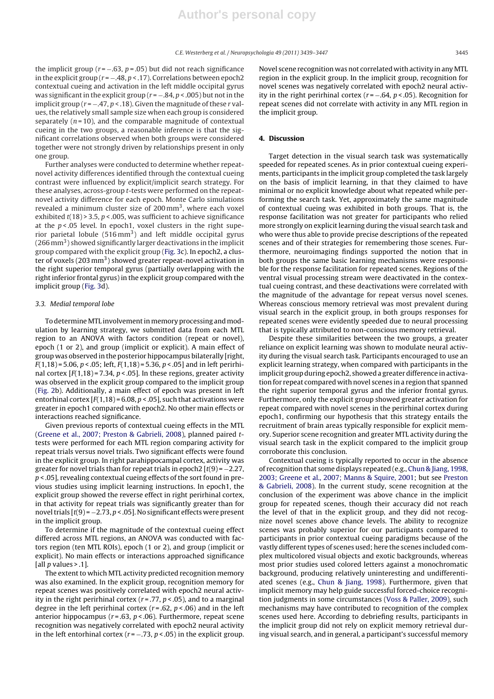the implicit group ( $r = -.63$ ,  $p = .05$ ) but did not reach significance in the explicit group ( $r = -.48, p < .17$ ). Correlations between epoch2 contextual cueing and activation in the left middle occipital gyrus was significant in the explicit group ( $r = -.84$ ,  $p < .005$ ) but not in the implicit group ( $r = -.47, p < .18$ ). Given the magnitude of these r values, the relatively small sample size when each group is considered separately ( $n = 10$ ), and the comparable magnitude of contextual cueing in the two groups, a reasonable inference is that the significant correlations observed when both groups were considered together were not strongly driven by relationships present in only one group.

Further analyses were conducted to determine whether repeatnovel activity differences identified through the contextual cueing contrast were influenced by explicit/implicit search strategy. For these analyses, across-group t-tests were performed on the repeatnovel activity difference for each epoch. Monte Carlo simulations revealed a minimum cluster size of 200 mm<sup>3</sup>, where each voxel exhibited  $t(18)$  > 3.5,  $p < .005$ , was sufficient to achieve significance at the  $p < .05$  level. In epoch1, voxel clusters in the right superior parietal lobule  $(516 \text{ mm}^3)$  and left middle occipital gyrus  $(266 \text{ mm}^3)$  showed significantly larger deactivations in the implicit group compared with the explicit group (Fig. 3c). In epoch2, a cluster of voxels (203 mm<sup>3</sup>) showed greater repeat-novel activation in the right superior temporal gyrus (partially overlapping with the right inferior frontal gyrus) in the explicit group compared with the implicit group (Fig. 3d).

# 3.3. Medial temporal lobe

To determine MTL involvement in memory processing and modulation by learning strategy, we submitted data from each MTL region to an ANOVA with factors condition (repeat or novel), epoch (1 or 2), and group (implicit or explicit). A main effect of group was observed in the posterior hippocampus bilaterally [right,  $F(1,18) = 5.06$ ,  $p < .05$ ; left,  $F(1,18) = 5.36$ ,  $p < .05$ ] and in left perirhinal cortex  $[F(1,18) = 7.34, p < .05]$ . In these regions, greater activity was observed in the explicit group compared to the implicit group (Fig. 2b). Additionally, a main effect of epoch was present in left entorhinal cortex  $[F(1,18) = 6.08, p < .05]$ , such that activations were greater in epoch1 compared with epoch2. No other main effects or interactions reached significance.

Given previous reports of contextual cueing effects in the MTL (Greene et al., 2007; Preston & Gabrieli, 2008), planned paired ttests were performed for each MTL region comparing activity for repeat trials versus novel trials. Two significant effects were found in the explicit group. In right parahippocampal cortex, activity was greater for novel trials than for repeat trials in epoch2  $[t(9) = -2.27$ .  $p < 0.05$ , revealing contextual cueing effects of the sort found in previous studies using implicit learning instructions. In epoch1, the explicit group showed the reverse effect in right perirhinal cortex, in that activity for repeat trials was significantly greater than for novel trials  $[t(9) = -2.73, p < .05]$ . No significant effects were present in the implicit group.

To determine if the magnitude of the contextual cueing effect differed across MTL regions, an ANOVA was conducted with factors region (ten MTL ROIs), epoch (1 or 2), and group (implicit or explicit). No main effects or interactions approached significance [all  $p$  values > .1].

The extent to which MTL activity predicted recognition memory was also examined. In the explicit group, recognition memory for repeat scenes was positively correlated with epoch2 neural activity in the right perirhinal cortex ( $r = .77$ ,  $p < .05$ ), and to a marginal degree in the left perirhinal cortex ( $r = .62$ ,  $p < .06$ ) and in the left anterior hippocampus ( $r = .63$ ,  $p < .06$ ). Furthermore, repeat scene recognition was negatively correlated with epoch2 neural activity in the left entorhinal cortex ( $r = -0.73$ ,  $p < 0.05$ ) in the explicit group. Novel scene recognition was not correlated with activity in any MTL region in the explicit group. In the implicit group, recognition for novel scenes was negatively correlated with epoch2 neural activity in the right perirhinal cortex ( $r = -.64$ ,  $p < .05$ ). Recognition for repeat scenes did not correlate with activity in any MTL region in the implicit group.

## **4. Discussion**

Target detection in the visual search task was systematically speeded for repeated scenes. As in prior contextual cueing experiments, participants in the implicit group completed the task largely on the basis of implicit learning, in that they claimed to have minimal or no explicit knowledge about what repeated while performing the search task. Yet, approximately the same magnitude of contextual cueing was exhibited in both groups. That is, the response facilitation was not greater for participants who relied more strongly on explicit learning during the visual search task and who were thus able to provide precise descriptions of the repeated scenes and of their strategies for remembering those scenes. Furthermore, neuroimaging findings supported the notion that in both groups the same basic learning mechanisms were responsible for the response facilitation for repeated scenes. Regions of the ventral visual processing stream were deactivated in the contextual cueing contrast, and these deactivations were correlated with the magnitude of the advantage for repeat versus novel scenes. Whereas conscious memory retrieval was most prevalent during visual search in the explicit group, in both groups responses for repeated scenes were evidently speeded due to neural processing that is typically attributed to non-conscious memory retrieval.

Despite these similarities between the two groups, a greater reliance on explicit learning was shown to modulate neural activity during the visual search task. Participants encouraged to use an explicit learning strategy, when compared with participants in the implicit group during epoch2, showed a greater difference in activation for repeat compared with novel scenes in a region that spanned the right superior temporal gyrus and the inferior frontal gyrus. Furthermore, only the explicit group showed greater activation for repeat compared with novel scenes in the perirhinal cortex during epoch1, confirming our hypothesis that this strategy entails the recruitment of brain areas typically responsible for explicit memory. Superior scene recognition and greater MTL activity during the visual search task in the explicit compared to the implicit group corroborate this conclusion.

Contextual cueing is typically reported to occur in the absence of recognition that some displays repeated (e.g., Chun & Jiang, 1998, 2003; Greene et al., 2007; Manns & Squire, 2001; but see Preston & Gabrieli, 2008). In the current study, scene recognition at the conclusion of the experiment was above chance in the implicit group for repeated scenes, though their accuracy did not reach the level of that in the explicit group, and they did not recognize novel scenes above chance levels. The ability to recognize scenes was probably superior for our participants compared to participants in prior contextual cueing paradigms because of the vastly different types of scenes used; here the scenes included complex multicolored visual objects and exotic backgrounds, whereas most prior studies used colored letters against a monochromatic background, producing relatively uninteresting and undifferentiated scenes (e.g., Chun & Jiang, 1998). Furthermore, given that implicit memory may help guide successful forced-choice recognition judgments in some circumstances (Voss & Paller, 2009), such mechanisms may have contributed to recognition of the complex scenes used here. According to debriefing results, participants in the implicit group did not rely on explicit memory retrieval during visual search, and in general, a participant's successful memory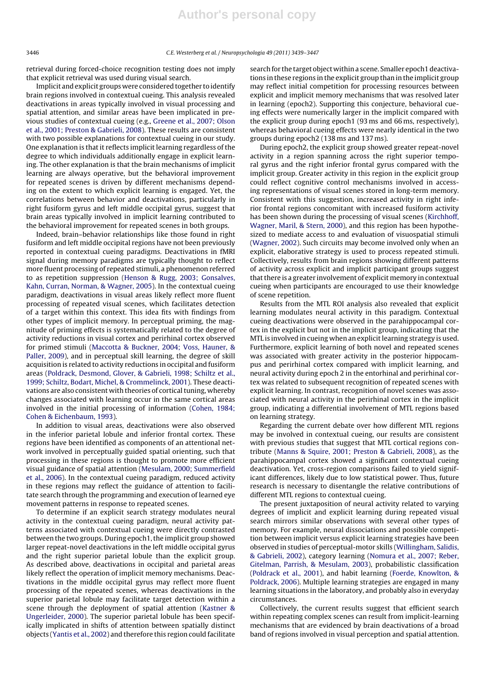retrieval during forced-choice recognition testing does not imply that explicit retrieval was used during visual search.

Implicit and explicit groups were considered together to identify brain regions involved in contextual cueing. This analysis revealed deactivations in areas typically involved in visual processing and spatial attention, and similar areas have been implicated in previous studies of contextual cueing (e.g., Greene et al., 2007; Olson et al., 2001; Preston & Gabrieli, 2008). These results are consistent with two possible explanations for contextual cueing in our study. One explanation is that it reflects implicit learning regardless of the degree to which individuals additionally engage in explicit learning. The other explanation is that the brain mechanisms of implicit learning are always operative, but the behavioral improvement for repeated scenes is driven by different mechanisms depending on the extent to which explicit learning is engaged. Yet, the correlations between behavior and deactivations, particularly in right fusiform gyrus and left middle occipital gyrus, suggest that brain areas typically involved in implicit learning contributed to the behavioral improvement for repeated scenes in both groups.

Indeed, brain–behavior relationships like those found in right fusiform and left middle occipital regions have not been previously reported in contextual cueing paradigms. Deactivations in fMRI signal during memory paradigms are typically thought to reflect more fluent processing of repeated stimuli, a phenomenon referred to as repetition suppression (Henson & Rugg, 2003; Gonsalves, Kahn, Curran, Norman, & Wagner, 2005). In the contextual cueing paradigm, deactivations in visual areas likely reflect more fluent processing of repeated visual scenes, which facilitates detection of a target within this context. This idea fits with findings from other types of implicit memory. In perceptual priming, the magnitude of priming effects is systematically related to the degree of activity reductions in visual cortex and perirhinal cortex observed for primed stimuli (Maccotta & Buckner, 2004; Voss, Hauner, & Paller, 2009), and in perceptual skill learning, the degree of skill acquisition is related to activity reductions in occipital and fusiform areas (Poldrack, Desmond, Glover, & Gabrieli, 1998; Schiltz et al., 1999; Schiltz, Bodart, Michel, & Crommelinck, 2001). These deactivations are also consistent with theories of cortical tuning, whereby changes associated with learning occur in the same cortical areas involved in the initial processing of information (Cohen, 1984; Cohen & Eichenbaum, 1993).

In addition to visual areas, deactivations were also observed in the inferior parietal lobule and inferior frontal cortex. These regions have been identified as components of an attentional network involved in perceptually guided spatial orienting, such that processing in these regions is thought to promote more efficient visual guidance of spatial attention (Mesulam, 2000; Summerfield et al., 2006). In the contextual cueing paradigm, reduced activity in these regions may reflect the guidance of attention to facilitate search through the programming and execution of learned eye movement patterns in response to repeated scenes.

To determine if an explicit search strategy modulates neural activity in the contextual cueing paradigm, neural activity patterns associated with contextual cueing were directly contrasted between the two groups. During epoch1, the implicit group showed larger repeat-novel deactivations in the left middle occipital gyrus and the right superior parietal lobule than the explicit group. As described above, deactivations in occipital and parietal areas likely reflect the operation of implicit memory mechanisms. Deactivations in the middle occipital gyrus may reflect more fluent processing of the repeated scenes, whereas deactivations in the superior parietal lobule may facilitate target detection within a scene through the deployment of spatial attention (Kastner & Ungerleider, 2000). The superior parietal lobule has been specifically implicated in shifts of attention between spatially distinct objects (Yantis et al., 2002) and therefore this region could facilitate

search for the target object within a scene. Smaller epoch1 deactivations in these regions in the explicit group than in the implicit group may reflect initial competition for processing resources between explicit and implicit memory mechanisms that was resolved later in learning (epoch2). Supporting this conjecture, behavioral cueing effects were numerically larger in the implicit compared with the explicit group during epoch1 (93 ms and 66 ms, respectively), whereas behavioral cueing effects were nearly identical in the two groups during epoch2 (138 ms and 137 ms).

During epoch2, the explicit group showed greater repeat-novel activity in a region spanning across the right superior temporal gyrus and the right inferior frontal gyrus compared with the implicit group. Greater activity in this region in the explicit group could reflect cognitive control mechanisms involved in accessing representations of visual scenes stored in long-term memory. Consistent with this suggestion, increased activity in right inferior frontal regions concomitant with increased fusiform activity has been shown during the processing of visual scenes (Kirchhoff, Wagner, Maril, & Stern, 2000), and this region has been hypothesized to mediate access to and evaluation of visuospatial stimuli (Wagner, 2002). Such circuits may become involved only when an explicit, elaborative strategy is used to process repeated stimuli. Collectively, results from brain regions showing different patterns of activity across explicit and implicit participant groups suggest that there is a greater involvement of explicit memory in contextual cueing when participants are encouraged to use their knowledge of scene repetition.

Results from the MTL ROI analysis also revealed that explicit learning modulates neural activity in this paradigm. Contextual cueing deactivations were observed in the parahippocampal cortex in the explicit but not in the implicit group, indicating that the MTL is involved in cueing when an explicit learning strategy is used. Furthermore, explicit learning of both novel and repeated scenes was associated with greater activity in the posterior hippocampus and perirhinal cortex compared with implicit learning, and neural activity during epoch 2 in the entorhinal and perirhinal cortex was related to subsequent recognition of repeated scenes with explicit learning. In contrast, recognition of novel scenes was associated with neural activity in the perirhinal cortex in the implicit group, indicating a differential involvement of MTL regions based on learning strategy.

Regarding the current debate over how different MTL regions may be involved in contextual cueing, our results are consistent with previous studies that suggest that MTL cortical regions contribute (Manns & Squire, 2001; Preston & Gabrieli, 2008), as the parahippocampal cortex showed a significant contextual cueing deactivation. Yet, cross-region comparisons failed to yield significant differences, likely due to low statistical power. Thus, future research is necessary to disentangle the relative contributions of different MTL regions to contextual cueing.

The present juxtaposition of neural activity related to varying degrees of implicit and explicit learning during repeated visual search mirrors similar observations with several other types of memory. For example, neural dissociations and possible competition between implicit versus explicit learning strategies have been observed in studies of perceptual-motor skills (Willingham, Salidis, & Gabrieli, 2002), category learning (Nomura et al., 2007; Reber, Gitelman, Parrish, & Mesulam, 2003), probabilistic classification (Poldrack et al., 2001), and habit learning (Foerde, Knowlton, & Poldrack, 2006). Multiple learning strategies are engaged in many learning situations in the laboratory, and probably also in everyday circumstances.

Collectively, the current results suggest that efficient search within repeating complex scenes can result from implicit-learning mechanisms that are evidenced by brain deactivations of a broad band of regions involved in visual perception and spatial attention.